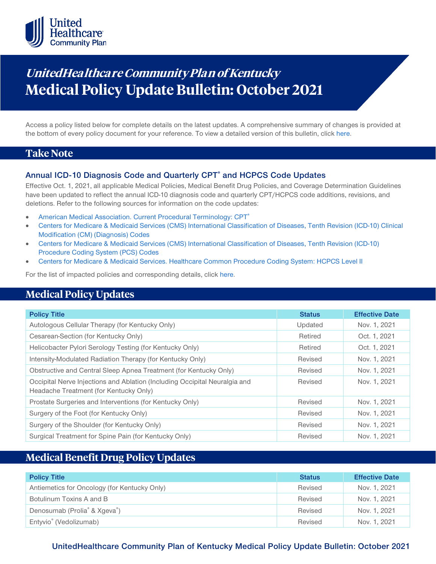

# **UnitedHealthca re Community Plan of Kentucky Medical Policy Update Bulletin: October 2021**

Access a policy listed below for complete details on the latest updates. A comprehensive summary of changes is provided at the bottom of every policy document for your reference. To view a detailed version of this bulletin, clic[k here.](https://www.uhcprovider.com/content/dam/provider/docs/public/policies/mpub-archives/comm-plan/ky/community-plan-ky-medical-policy-update-bulletin-october-2021-full.pdf)

### **Take Note**

### **Annual ICD-10 Diagnosis Code and Quarterly CPT® and HCPCS Code Updates**

Effective Oct. 1, 2021, all applicable Medical Policies, Medical Benefit Drug Policies, and Coverage Determination Guidelines have been updated to reflect the annual ICD-10 diagnosis code and quarterly CPT/HCPCS code additions, revisions, and deletions. Refer to the following sources for information on the code updates:

- [American Medical Association. Current Procedural Terminology: CPT®](https://www.ama-assn.org/practice-management/cpt)
- [Centers for Medicare & Medicaid Services \(CMS\) International Classification of Diseases, Tenth Revision \(ICD-10\) Clinical](https://www.cms.gov/medicare/icd-10/2021-icd-10-cm)  [Modification \(CM\) \(Diagnosis\) Codes](https://www.cms.gov/medicare/icd-10/2021-icd-10-cm)
- [Centers for Medicare & Medicaid Services \(CMS\) International Classification of Diseases, Tenth Revision \(ICD-10\)](https://www.cms.gov/medicare/icd-10/2021-icd-10-pcs)  [Procedure Coding System \(PCS\) Codes](https://www.cms.gov/medicare/icd-10/2021-icd-10-pcs)
- [Centers for Medicare & Medicaid Services. Healthcare Common Procedure Coding System: HCPCS Level II](https://www.cms.gov/Medicare/Coding/MedHCPCSGenInfo/index.html)

For the list of impacted policies and corresponding details, click [here.](https://www.uhcprovider.com/content/dam/provider/docs/public/policies/mpub-archives/comm-plan/ky/community-plan-ky-medical-policy-update-bulletin-october-2021-full.pdf)

## **Medical Policy Updates**

| <b>Policy Title</b>                                                                                                  | <b>Status</b> | <b>Effective Date</b> |
|----------------------------------------------------------------------------------------------------------------------|---------------|-----------------------|
| Autologous Cellular Therapy (for Kentucky Only)                                                                      | Updated       | Nov. 1, 2021          |
| Cesarean-Section (for Kentucky Only)                                                                                 | Retired       | Oct. 1, 2021          |
| Helicobacter Pylori Serology Testing (for Kentucky Only)                                                             | Retired       | Oct. 1, 2021          |
| Intensity-Modulated Radiation Therapy (for Kentucky Only)                                                            | Revised       | Nov. 1, 2021          |
| Obstructive and Central Sleep Apnea Treatment (for Kentucky Only)                                                    | Revised       | Nov. 1, 2021          |
| Occipital Nerve Injections and Ablation (Including Occipital Neuralgia and<br>Headache Treatment (for Kentucky Only) | Revised       | Nov. 1, 2021          |
| Prostate Surgeries and Interventions (for Kentucky Only)                                                             | Revised       | Nov. 1, 2021          |
| Surgery of the Foot (for Kentucky Only)                                                                              | Revised       | Nov. 1, 2021          |
| Surgery of the Shoulder (for Kentucky Only)                                                                          | Revised       | Nov. 1, 2021          |
| Surgical Treatment for Spine Pain (for Kentucky Only)                                                                | Revised       | Nov. 1, 2021          |

### **Medical Benefit Drug Policy Updates**

| <b>Policy Title</b>                                   | <b>Status</b> | <b>Effective Date</b> |
|-------------------------------------------------------|---------------|-----------------------|
| Antiemetics for Oncology (for Kentucky Only)          | Revised       | Nov. 1, 2021          |
| Botulinum Toxins A and B                              | Revised       | Nov. 1, 2021          |
| Denosumab (Prolia <sup>®</sup> & Xgeva <sup>®</sup> ) | Revised       | Nov. 1, 2021          |
| Entyvio <sup>®</sup> (Vedolizumab)                    | Revised       | Nov. 1, 2021          |

### **UnitedHealthcare Community Plan of Kentucky Medical Policy Update Bulletin: October 2021**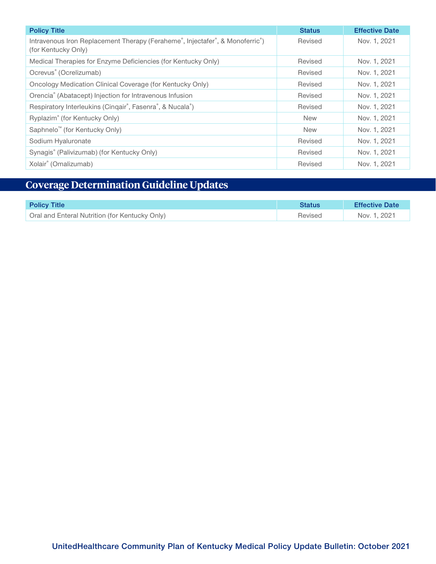| <b>Policy Title</b>                                                                                                                        | <b>Status</b> | <b>Effective Date</b> |
|--------------------------------------------------------------------------------------------------------------------------------------------|---------------|-----------------------|
| Intravenous Iron Replacement Therapy (Feraheme <sup>®</sup> , Injectafer <sup>®</sup> , & Monoferric <sup>®</sup> )<br>(for Kentucky Only) | Revised       | Nov. 1, 2021          |
| Medical Therapies for Enzyme Deficiencies (for Kentucky Only)                                                                              | Revised       | Nov. 1, 2021          |
| Ocrevus <sup>®</sup> (Ocrelizumab)                                                                                                         | Revised       | Nov. 1, 2021          |
| Oncology Medication Clinical Coverage (for Kentucky Only)                                                                                  | Revised       | Nov. 1, 2021          |
| Orencia® (Abatacept) Injection for Intravenous Infusion                                                                                    | Revised       | Nov. 1, 2021          |
| Respiratory Interleukins (Cinqair®, Fasenra®, & Nucala®)                                                                                   | Revised       | Nov. 1, 2021          |
| Ryplazim® (for Kentucky Only)                                                                                                              | <b>New</b>    | Nov. 1, 2021          |
| Saphnelo <sup>™</sup> (for Kentucky Only)                                                                                                  | <b>New</b>    | Nov. 1, 2021          |
| Sodium Hyaluronate                                                                                                                         | Revised       | Nov. 1, 2021          |
| Synagis® (Palivizumab) (for Kentucky Only)                                                                                                 | Revised       | Nov. 1, 2021          |
| Xolair <sup>®</sup> (Omalizumab)                                                                                                           | Revised       | Nov. 1, 2021          |

## **Coverage Determination Guideline Updates**

| <b>Policy Title</b>                            | Status  | <b>Effective Date</b> |
|------------------------------------------------|---------|-----------------------|
| Oral and Enteral Nutrition (for Kentucky Only) | Revised | Nov. 1, 2021          |